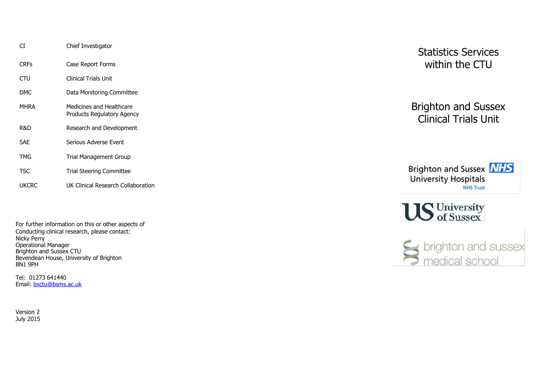| СT          | Chief Investigator                                     |
|-------------|--------------------------------------------------------|
| <b>CRFs</b> | Case Report Forms                                      |
| CTU         | <b>Clinical Trials Unit</b>                            |
| DMC.        | Data Monitoring Committee                              |
| MHRA        | Medicines and Healthcare<br>Products Regulatory Agency |
| R&D         | Research and Development                               |
| SAF         | Serious Adverse Event                                  |
| TMG         | Trial Management Group                                 |
| TSC         | <b>Trial Steering Committee</b>                        |
| UKCRC       | UK Clinical Research Collaboration                     |

For further information on this or other aspects of Conducting clinical research, please contact: Nicky Perry Operational Manager Brighton and Sussex CTU Bevendean House, University of Brighton BN1 9PH

Tel: 01273 641440 Email: [bsctu@bsms.ac.uk](mailto:bsctu@bsms.ac.uk)

Version 2 July 2015 Statistics Services within the CTU

Brighton and Sussex Clinical Trials Unit



US University<br>of Sussex

Sports brighton and sussex